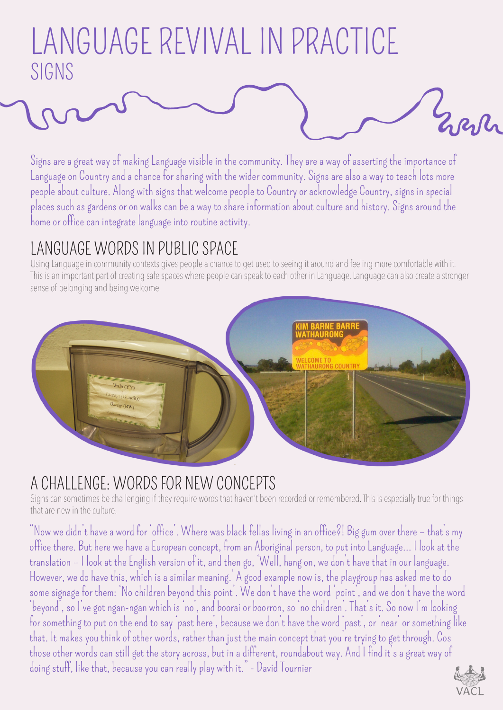# LANGUAGE REVIVAL IN PRACTICE SIGNS

Signs are a great way of making Language visible in the community. They are a way of asserting the importance of Language on Country and a chance for sharing with the wider community. Signs are also a way to teach lots more people about culture. Along with signs that welcome people to Country or acknowledge Country, signs in special places such as gardens or on walks can be a way to share information about culture and history. Signs around the home or office can integrate language into routine activity.

## LANGUAGE WORDS IN PUBLIC SPACE

Using Language in community contexts gives people a chance to get used to seeing it around and feeling more comfortable with it. This is an important part of creating safe spaces where people can speak to each other in Language. Language can also create a stronger sense of belonging and being welcome.



### A CHALLENGE: WORDS FOR NEW CONCEPTS

Signs can sometimes be challenging if they require words that haven't been recorded or remembered. This is especially true for things that are new in the culture.

"Now we didn't have a word for 'office'. Where was black fellas living in an office?! Big gum over there – that's my office there. But here we have a European concept, from an Aboriginal person, to put into Language... I look at the translation – I look at the English version of it, and then go, 'Well, hang on, we don't have that in our language. However, we do have this, which is a similar meaning.' A good example now is, the playgroup has asked me to do some signage for them: 'No children beyond this point'. We don't have the word 'point', and we don't have the word 'beyond', so I've got ngan-ngan which is 'no', and boorai or boorron, so 'no children'. That's it. So now I'm looking for something to put on the end to say 'past here', because we don't have the word 'past', or 'near' or something like that. It makes you think of other words, rather than just the main concept that you're trying to get through. Cos those other words can still get the story across, but in a different, roundabout way. And I find it's a great way of doing stuff, like that, because you can really play with it." - David Tournier



Everly